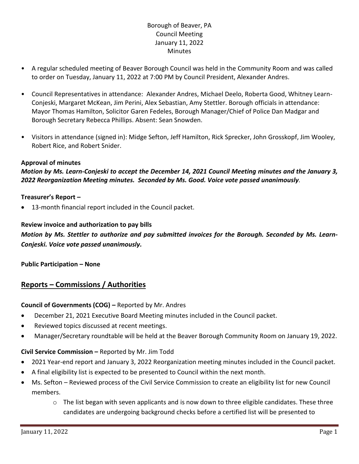# Borough of Beaver, PA Council Meeting January 11, 2022 **Minutes**

- A regular scheduled meeting of Beaver Borough Council was held in the Community Room and was called to order on Tuesday, January 11, 2022 at 7:00 PM by Council President, Alexander Andres.
- Council Representatives in attendance: Alexander Andres, Michael Deelo, Roberta Good, Whitney Learn-Conjeski, Margaret McKean, Jim Perini, Alex Sebastian, Amy Stettler. Borough officials in attendance: Mayor Thomas Hamilton, Solicitor Garen Fedeles, Borough Manager/Chief of Police Dan Madgar and Borough Secretary Rebecca Phillips. Absent: Sean Snowden.
- Visitors in attendance (signed in): Midge Sefton, Jeff Hamilton, Rick Sprecker, John Grosskopf, Jim Wooley, Robert Rice, and Robert Snider.

### **Approval of minutes**

*Motion by Ms. Learn-Conjeski to accept the December 14, 2021 Council Meeting minutes and the January 3, 2022 Reorganization Meeting minutes. Seconded by Ms. Good. Voice vote passed unanimously.*

### **Treasurer's Report –**

• 13-month financial report included in the Council packet.

### **Review invoice and authorization to pay bills**

*Motion by Ms. Stettler to authorize and pay submitted invoices for the Borough. Seconded by Ms. Learn-Conjeski. Voice vote passed unanimously.*

### **Public Participation – None**

# **Reports – Commissions / Authorities**

### **Council of Governments (COG) –** Reported by Mr. Andres

- December 21, 2021 Executive Board Meeting minutes included in the Council packet.
- Reviewed topics discussed at recent meetings.
- Manager/Secretary roundtable will be held at the Beaver Borough Community Room on January 19, 2022.

### **Civil Service Commission –** Reported by Mr. Jim Todd

- 2021 Year-end report and January 3, 2022 Reorganization meeting minutes included in the Council packet.
- A final eligibility list is expected to be presented to Council within the next month.
- Ms. Sefton Reviewed process of the Civil Service Commission to create an eligibility list for new Council members.
	- $\circ$  The list began with seven applicants and is now down to three eligible candidates. These three candidates are undergoing background checks before a certified list will be presented to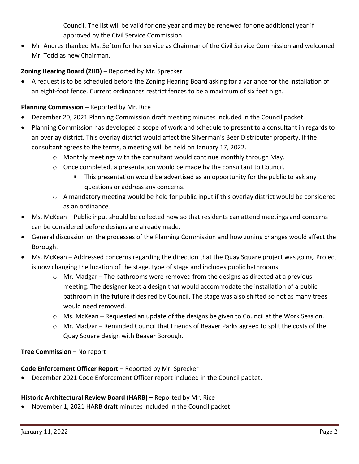Council. The list will be valid for one year and may be renewed for one additional year if approved by the Civil Service Commission.

• Mr. Andres thanked Ms. Sefton for her service as Chairman of the Civil Service Commission and welcomed Mr. Todd as new Chairman.

# **Zoning Hearing Board (ZHB) –** Reported by Mr. Sprecker

• A request is to be scheduled before the Zoning Hearing Board asking for a variance for the installation of an eight-foot fence. Current ordinances restrict fences to be a maximum of six feet high.

## **Planning Commission –** Reported by Mr. Rice

- December 20, 2021 Planning Commission draft meeting minutes included in the Council packet.
- Planning Commission has developed a scope of work and schedule to present to a consultant in regards to an overlay district. This overlay district would affect the Silverman's Beer Distributer property. If the consultant agrees to the terms, a meeting will be held on January 17, 2022.
	- $\circ$  Monthly meetings with the consultant would continue monthly through May.
	- $\circ$  Once completed, a presentation would be made by the consultant to Council.
		- This presentation would be advertised as an opportunity for the public to ask any questions or address any concerns.
	- $\circ$  A mandatory meeting would be held for public input if this overlay district would be considered as an ordinance.
- Ms. McKean Public input should be collected now so that residents can attend meetings and concerns can be considered before designs are already made.
- General discussion on the processes of the Planning Commission and how zoning changes would affect the Borough.
- Ms. McKean Addressed concerns regarding the direction that the Quay Square project was going. Project is now changing the location of the stage, type of stage and includes public bathrooms.
	- o Mr. Madgar The bathrooms were removed from the designs as directed at a previous meeting. The designer kept a design that would accommodate the installation of a public bathroom in the future if desired by Council. The stage was also shifted so not as many trees would need removed.
	- $\circ$  Ms. McKean Requested an update of the designs be given to Council at the Work Session.
	- $\circ$  Mr. Madgar Reminded Council that Friends of Beaver Parks agreed to split the costs of the Quay Square design with Beaver Borough.

## **Tree Commission –** No report

## **Code Enforcement Officer Report –** Reported by Mr. Sprecker

• December 2021 Code Enforcement Officer report included in the Council packet.

## **Historic Architectural Review Board (HARB) – Reported by Mr. Rice**

• November 1, 2021 HARB draft minutes included in the Council packet.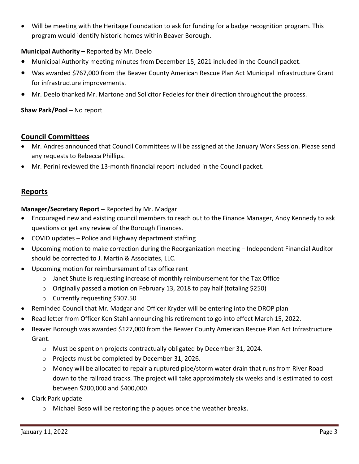• Will be meeting with the Heritage Foundation to ask for funding for a badge recognition program. This program would identify historic homes within Beaver Borough.

## **Municipal Authority –** Reported by Mr. Deelo

- Municipal Authority meeting minutes from December 15, 2021 included in the Council packet.
- Was awarded \$767,000 from the Beaver County American Rescue Plan Act Municipal Infrastructure Grant for infrastructure improvements.
- Mr. Deelo thanked Mr. Martone and Solicitor Fedeles for their direction throughout the process.

## **Shaw Park/Pool –** No report

# **Council Committees**

- Mr. Andres announced that Council Committees will be assigned at the January Work Session. Please send any requests to Rebecca Phillips.
- Mr. Perini reviewed the 13-month financial report included in the Council packet.

## **Reports**

**Manager/Secretary Report –** Reported by Mr. Madgar

- Encouraged new and existing council members to reach out to the Finance Manager, Andy Kennedy to ask questions or get any review of the Borough Finances.
- COVID updates Police and Highway department staffing
- Upcoming motion to make correction during the Reorganization meeting Independent Financial Auditor should be corrected to J. Martin & Associates, LLC.
- Upcoming motion for reimbursement of tax office rent
	- o Janet Shute is requesting increase of monthly reimbursement for the Tax Office
	- o Originally passed a motion on February 13, 2018 to pay half (totaling \$250)
	- o Currently requesting \$307.50
- Reminded Council that Mr. Madgar and Officer Kryder will be entering into the DROP plan
- Read letter from Officer Ken Stahl announcing his retirement to go into effect March 15, 2022.
- Beaver Borough was awarded \$127,000 from the Beaver County American Rescue Plan Act Infrastructure Grant.
	- $\circ$  Must be spent on projects contractually obligated by December 31, 2024.
	- o Projects must be completed by December 31, 2026.
	- $\circ$  Money will be allocated to repair a ruptured pipe/storm water drain that runs from River Road down to the railroad tracks. The project will take approximately six weeks and is estimated to cost between \$200,000 and \$400,000.
- Clark Park update
	- o Michael Boso will be restoring the plaques once the weather breaks.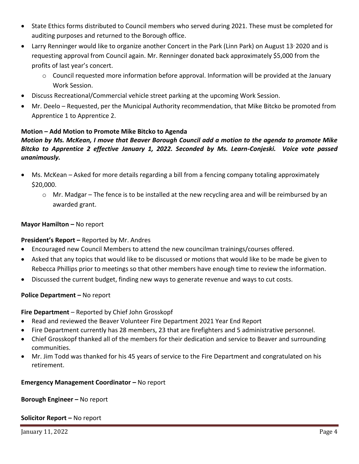- State Ethics forms distributed to Council members who served during 2021. These must be completed for auditing purposes and returned to the Borough office.
- Larry Renninger would like to organize another Concert in the Park (Linn Park) on August 13<sup>,</sup> 2020 and is requesting approval from Council again. Mr. Renninger donated back approximately \$5,000 from the profits of last year's concert.
	- $\circ$  Council requested more information before approval. Information will be provided at the January Work Session.
- Discuss Recreational/Commercial vehicle street parking at the upcoming Work Session.
- Mr. Deelo Requested, per the Municipal Authority recommendation, that Mike Bitcko be promoted from Apprentice 1 to Apprentice 2.

### **Motion – Add Motion to Promote Mike Bitcko to Agenda**

## *Motion by Ms. McKean, I move that Beaver Borough Council add a motion to the agenda to promote Mike Bitcko to Apprentice 2 effective January 1, 2022. Seconded by Ms. Learn-Conjeski. Voice vote passed unanimously.*

- Ms. McKean Asked for more details regarding a bill from a fencing company totaling approximately \$20,000.
	- $\circ$  Mr. Madgar The fence is to be installed at the new recycling area and will be reimbursed by an awarded grant.

### **Mayor Hamilton – No report**

### **President's Report –** Reported by Mr. Andres

- Encouraged new Council Members to attend the new councilman trainings/courses offered.
- Asked that any topics that would like to be discussed or motions that would like to be made be given to Rebecca Phillips prior to meetings so that other members have enough time to review the information.
- Discussed the current budget, finding new ways to generate revenue and ways to cut costs.

### **Police Department – No report**

### **Fire Department** – Reported by Chief John Grosskopf

- Read and reviewed the Beaver Volunteer Fire Department 2021 Year End Report
- Fire Department currently has 28 members, 23 that are firefighters and 5 administrative personnel.
- Chief Grosskopf thanked all of the members for their dedication and service to Beaver and surrounding communities.
- Mr. Jim Todd was thanked for his 45 years of service to the Fire Department and congratulated on his retirement.

### **Emergency Management Coordinator – No report**

### **Borough Engineer –** No report

### **Solicitor Report –** No report